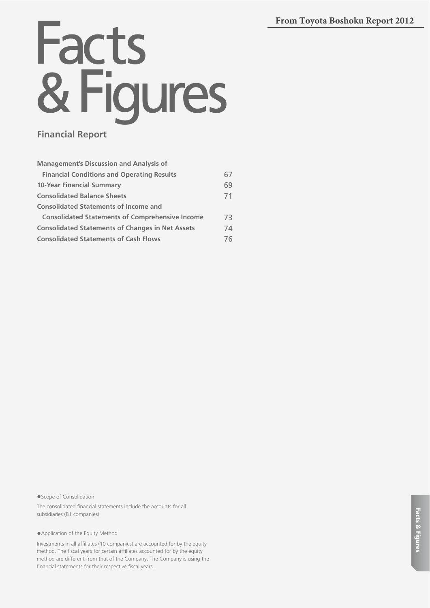# **From Toyota Boshoku Report 2012**

# Facts & Figures

# **Financial Report**

| <b>Management's Discussion and Analysis of</b>          |     |
|---------------------------------------------------------|-----|
| <b>Financial Conditions and Operating Results</b>       | 67  |
| <b>10-Year Financial Summary</b>                        | 69  |
| <b>Consolidated Balance Sheets</b>                      | 71  |
| <b>Consolidated Statements of Income and</b>            |     |
| <b>Consolidated Statements of Comprehensive Income</b>  | 73. |
| <b>Consolidated Statements of Changes in Net Assets</b> | 74  |
| <b>Consolidated Statements of Cash Flows</b>            | 76  |

● Scope of Consolidation

The consolidated financial statements include the accounts for all subsidiaries (81 companies).

● Application of the Equity Method

Investments in all affiliates (10 companies) are accounted for by the equity method. The fiscal years for certain affiliates accounted for by the equity method are different from that of the Company. The Company is using the financial statements for their respective fiscal years.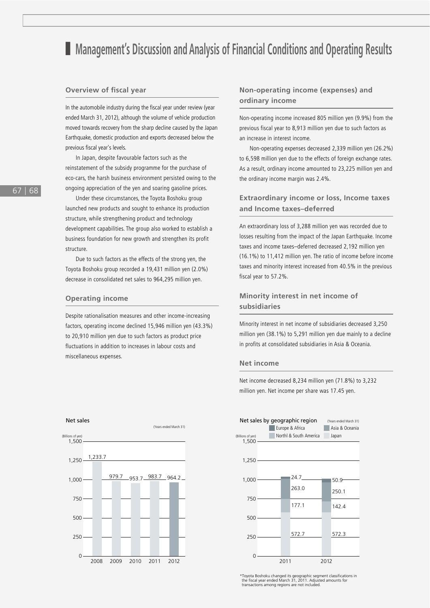# ■ Management's Discussion and Analysis of Financial Conditions and Operating Results

# **Overview of fiscal year**

In the automobile industry during the fiscal year under review (year ended March 31, 2012), although the volume of vehicle production moved towards recovery from the sharp decline caused by the Japan Earthquake, domestic production and exports decreased below the previous fiscal year's levels.

In Japan, despite favourable factors such as the reinstatement of the subsidy programme for the purchase of eco-cars, the harsh business environment persisted owing to the ongoing appreciation of the yen and soaring gasoline prices.

Under these circumstances, the Toyota Boshoku group launched new products and sought to enhance its production structure, while strengthening product and technology development capabilities. The group also worked to establish a business foundation for new growth and strengthen its profit structure.

Due to such factors as the effects of the strong yen, the Toyota Boshoku group recorded a 19,431 million yen (2.0%) decrease in consolidated net sales to 964,295 million yen.

## **Operating income**

Despite rationalisation measures and other income-increasing factors, operating income declined 15,946 million yen (43.3%) to 20,910 million yen due to such factors as product price fluctuations in addition to increases in labour costs and miscellaneous expenses.



# **Non-operating income (expenses) and ordinary income**

Non-operating income increased 805 million yen (9.9%) from the previous fiscal year to 8,913 million yen due to such factors as an increase in interest income.

Non-operating expenses decreased 2,339 million yen (26.2%) to 6,598 million yen due to the effects of foreign exchange rates. As a result, ordinary income amounted to 23,225 million yen and the ordinary income margin was 2.4%.

# **Extraordinary income or loss, Income taxes and Income taxes–deferred**

An extraordinary loss of 3,288 million yen was recorded due to losses resulting from the impact of the Japan Earthquake. Income taxes and income taxes–deferred decreased 2,192 million yen (16.1%) to 11,412 million yen. The ratio of income before income taxes and minority interest increased from 40.5% in the previous fiscal year to 57.2%.

# **Minority interest in net income of subsidiaries**

Minority interest in net income of subsidiaries decreased 3,250 million yen (38.1%) to 5,291 million yen due mainly to a decline in profits at consolidated subsidiaries in Asia & Oceania.

### **Net income**

Net income decreased 8,234 million yen (71.8%) to 3,232 million yen. Net income per share was 17.45 yen.



\*Toyota Boshoku changed its geographic segment classifications in the fiscal year ended March 31, 2011. Adjusted amounts for transactions among regions are not included.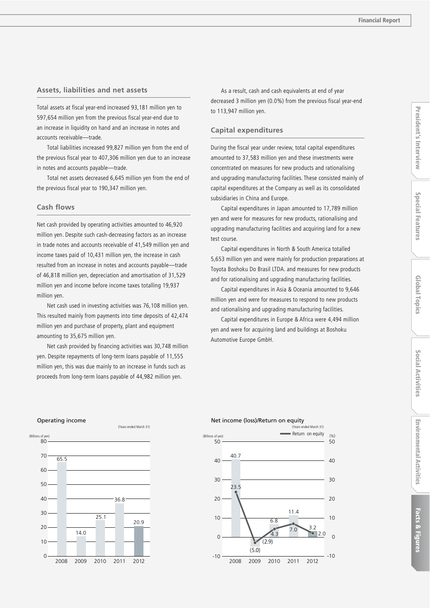# **Assets, liabilities and net assets**

Total assets at fiscal year-end increased 93,181 million yen to 597,654 million yen from the previous fiscal year-end due to an increase in liquidity on hand and an increase in notes and accounts receivable—trade.

Total liabilities increased 99,827 million yen from the end of the previous fiscal year to 407,306 million yen due to an increase in notes and accounts payable—trade.

Total net assets decreased 6,645 million yen from the end of the previous fiscal year to 190,347 million yen.

#### **Cash flows**

Net cash provided by operating activities amounted to 46,920 million yen. Despite such cash-decreasing factors as an increase in trade notes and accounts receivable of 41,549 million yen and income taxes paid of 10,431 million yen, the increase in cash resulted from an increase in notes and accounts payable—trade of 46,818 million yen, depreciation and amortisation of 31,529 million yen and income before income taxes totalling 19,937 million yen.

Net cash used in investing activities was 76,108 million yen. This resulted mainly from payments into time deposits of 42,474 million yen and purchase of property, plant and equipment amounting to 35,675 million yen.

Net cash provided by financing activities was 30,748 million yen. Despite repayments of long-term loans payable of 11,555 million yen, this was due mainly to an increase in funds such as proceeds from long-term loans payable of 44,982 million yen.

As a result, cash and cash equivalents at end of year decreased 3 million yen (0.0%) from the previous fiscal year-end to 113,947 million yen.

# **Capital expenditures**

During the fiscal year under review, total capital expenditures amounted to 37,583 million yen and these investments were concentrated on measures for new products and rationalising and upgrading manufacturing facilities. These consisted mainly of capital expenditures at the Company as well as its consolidated subsidiaries in China and Europe.

Capital expenditures in Japan amounted to 17,789 million yen and were for measures for new products, rationalising and upgrading manufacturing facilities and acquiring land for a new test course.

Capital expenditures in North & South America totalled 5,653 million yen and were mainly for production preparations at Toyota Boshoku Do Brasil LTDA. and measures for new products and for rationalising and upgrading manufacturing facilities.

Capital expenditures in Asia & Oceania amounted to 9,646 million yen and were for measures to respond to new products and rationalising and upgrading manufacturing facilities.

Capital expenditures in Europe & Africa were 4,494 million yen and were for acquiring land and buildings at Boshoku Automotive Europe GmbH.





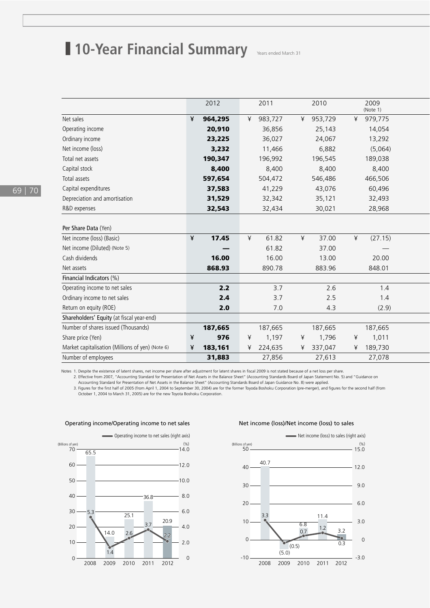# **10-Year Financial Summary** Years ended March 31

|                                                  | 2012         | 2011         | 2010       | 2009<br>(Note 1)                |  |
|--------------------------------------------------|--------------|--------------|------------|---------------------------------|--|
| Net sales                                        | ¥<br>964,295 | 983,727<br>¥ | ¥ 953,729  | 979,775<br>¥                    |  |
| Operating income                                 | 20,910       | 36,856       | 25,143     | 14,054                          |  |
| Ordinary income                                  | 23,225       | 36,027       | 24,067     | 13,292                          |  |
| Net income (loss)                                | 3,232        | 11,466       | 6,882      | (5,064)                         |  |
| Total net assets                                 | 190,347      | 196,992      | 196,545    | 189,038                         |  |
| Capital stock                                    | 8,400        | 8,400        | 8,400      | 8,400                           |  |
| Total assets                                     | 597,654      | 504,472      | 546,486    | 466,506                         |  |
| Capital expenditures                             | 37,583       | 41,229       | 43,076     | 60,496                          |  |
| Depreciation and amortisation                    | 31,529       | 32,342       | 35,121     | 32,493                          |  |
| R&D expenses                                     | 32,543       | 32,434       | 30,021     | 28,968                          |  |
|                                                  |              |              |            |                                 |  |
| Per Share Data (Yen)                             |              |              |            |                                 |  |
| Net income (loss) (Basic)                        | 17.45<br>¥   | 61.82<br>¥   | 37.00<br>¥ | (27.15)<br>¥                    |  |
| Net income (Diluted) (Note 5)                    | —            | 61.82        | 37.00      | $\hspace{0.1mm}-\hspace{0.1mm}$ |  |
| Cash dividends                                   | 16.00        | 16.00        | 13.00      | 20.00                           |  |
| Net assets                                       | 868.93       | 890.78       | 883.96     | 848.01                          |  |
| Financial Indicators (%)                         |              |              |            |                                 |  |
| Operating income to net sales                    | 2.2          | 3.7          | 2.6        | 1.4                             |  |
| Ordinary income to net sales                     | 2.4          | 3.7          | 2.5        | 1.4                             |  |
| Return on equity (ROE)                           | 2.0          | 7.0          | 4.3        | (2.9)                           |  |
| Shareholders' Equity (at fiscal year-end)        |              |              |            |                                 |  |
| Number of shares issued (Thousands)              | 187,665      | 187,665      | 187,665    | 187,665                         |  |
| Share price (Yen)                                | 976<br>¥     | 1,197<br>¥   | 1,796<br>¥ | 1,011<br>¥                      |  |
| Market capitalisation (Millions of yen) (Note 6) | ¥<br>183,161 | 224,635<br>¥ | ¥ 337,047  | ¥ 189,730                       |  |
| Number of employees                              | 31,883       | 27,856       | 27,613     | 27,078                          |  |

Notes 1. Despite the existence of latent shares, net income per share after adjustment for latent shares in fiscal 2009 is not stated because of a net loss per share.

2. Effective from 2007, "Accounting Standard for Presentation of Net Assets in the Balance Sheet" (Accounting Standards Board of Japan Statement No. 5) and "Guidance on Accounting Standard for Presentation of Net Assets in the Balance Sheet" (Accounting Standards Board of Japan Guidance No. 8) were applied.

3. Figures for the first half of 2005 (from April 1, 2004 to September 30, 2004) are for the former Toyoda Boshoku Corporation (pre-merger), and figures for the second half (from<br>October 1, 2004 to March 31, 2005) are for



## Operating income/Operating income to net sales